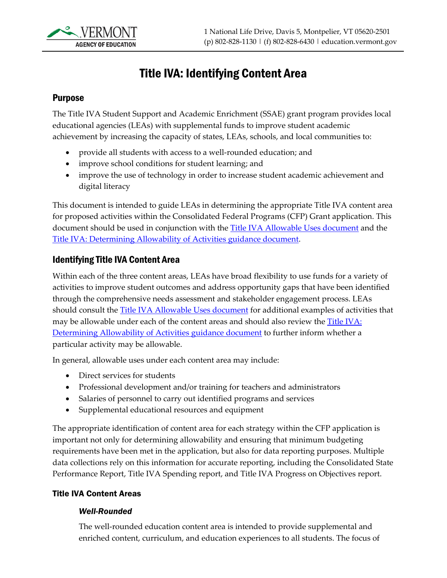

# Title IVA: Identifying Content Area

### Purpose

The Title IVA Student Support and Academic Enrichment (SSAE) grant program provides local educational agencies (LEAs) with supplemental funds to improve student academic achievement by increasing the capacity of states, LEAs, schools, and local communities to:

- provide all students with access to a well-rounded education; and
- improve school conditions for student learning; and
- improve the use of technology in order to increase student academic achievement and digital literacy

This document is intended to guide LEAs in determining the appropriate Title IVA content area for proposed activities within the Consolidated Federal Programs (CFP) Grant application. This document should be used in conjunction with the [Title IVA Allowable Uses document](https://education.vermont.gov/sites/aoe/files/documents/edu-cfp-title-iv-allowable-uses.pdf) and the [Title IVA: Determining Allowability of Activities guidance document.](https://education.vermont.gov/documents/edu-cfp-title-iva-determining-allowability-of-activities)

### Identifying Title IVA Content Area

Within each of the three content areas, LEAs have broad flexibility to use funds for a variety of activities to improve student outcomes and address opportunity gaps that have been identified through the comprehensive needs assessment and stakeholder engagement process. LEAs should consult the [Title IVA Allowable Uses](https://education.vermont.gov/sites/aoe/files/documents/edu-cfp-title-iv-allowable-uses.pdf) document for additional examples of activities that may be allowable under each of the content areas and should also review the Title IVA: [Determining Allowability of Activities guidance document](https://education.vermont.gov/documents/edu-cfp-title-iva-determining-allowability-of-activities) to further inform whether a particular activity may be allowable.

In general, allowable uses under each content area may include:

- Direct services for students
- Professional development and/or training for teachers and administrators
- Salaries of personnel to carry out identified programs and services
- Supplemental educational resources and equipment

The appropriate identification of content area for each strategy within the CFP application is important not only for determining allowability and ensuring that minimum budgeting requirements have been met in the application, but also for data reporting purposes. Multiple data collections rely on this information for accurate reporting, including the Consolidated State Performance Report, Title IVA Spending report, and Title IVA Progress on Objectives report.

#### Title IVA Content Areas

#### *Well-Rounded*

The well-rounded education content area is intended to provide supplemental and enriched content, curriculum, and education experiences to all students. The focus of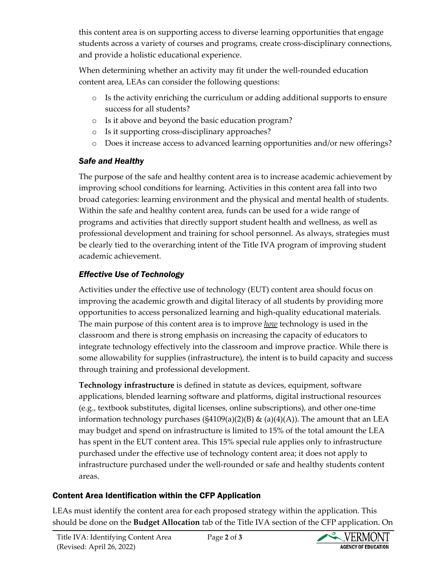this content area is on supporting access to diverse learning opportunities that engage students across a variety of courses and programs, create cross-disciplinary connections, and provide a holistic educational experience.

When determining whether an activity may fit under the well-rounded education content area, LEAs can consider the following questions:

- o Is the activity enriching the curriculum or adding additional supports to ensure success for all students?
- o Is it above and beyond the basic education program?
- o Is it supporting cross-disciplinary approaches?
- o Does it increase access to advanced learning opportunities and/or new offerings?

### *Safe and Healthy*

The purpose of the safe and healthy content area is to increase academic achievement by improving school conditions for learning. Activities in this content area fall into two broad categories: learning environment and the physical and mental health of students. Within the safe and healthy content area, funds can be used for a wide range of programs and activities that directly support student health and wellness, as well as professional development and training for school personnel. As always, strategies must be clearly tied to the overarching intent of the Title IVA program of improving student academic achievement.

## *Effective Use of Technology*

Activities under the effective use of technology (EUT) content area should focus on improving the academic growth and digital literacy of all students by providing more opportunities to access personalized learning and high-quality educational materials. The main purpose of this content area is to improve *how* technology is used in the classroom and there is strong emphasis on increasing the capacity of educators to integrate technology effectively into the classroom and improve practice. While there is some allowability for supplies (infrastructure), the intent is to build capacity and success through training and professional development.

**Technology infrastructure** is defined in statute as devices, equipment, software applications, blended learning software and platforms, digital instructional resources (e.g., textbook substitutes, digital licenses, online subscriptions), and other one-time information technology purchases  $(S4109(a)(2)(B) \& (a)(4)(A))$ . The amount that an LEA may budget and spend on infrastructure is limited to 15% of the total amount the LEA has spent in the EUT content area. This 15% special rule applies only to infrastructure purchased under the effective use of technology content area; it does not apply to infrastructure purchased under the well-rounded or safe and healthy students content areas.

# Content Area Identification within the CFP Application

LEAs must identify the content area for each proposed strategy within the application. This should be done on the **Budget Allocation** tab of the Title IVA section of the CFP application. On